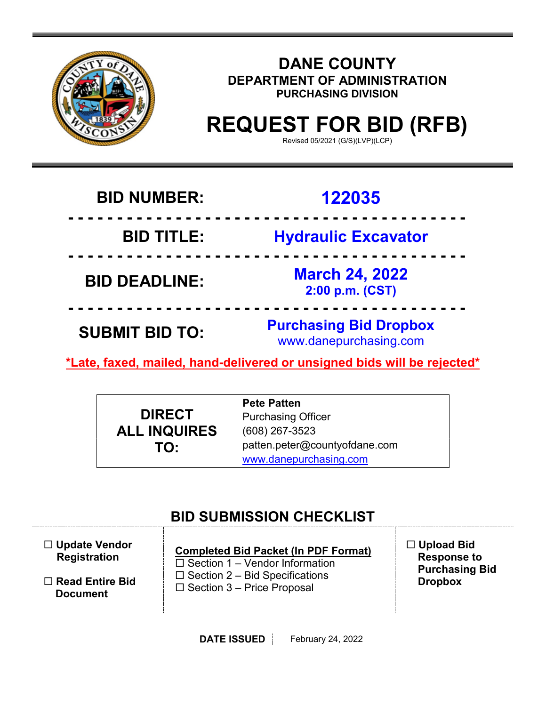

### **DANE COUNTY DEPARTMENT OF ADMINISTRATION PURCHASING DIVISION**

# **REQUEST FOR BID (RFB)**

Revised 05/2021 (G/S)(LVP)(LCP)

## **BID NUMBER: 122035**

**- - - - - - - - - - - - - - - - - - - - - - - - - - - - - - - - - - - - - - - - -**

### **BID TITLE: Hydraulic Excavator**

**BID DEADLINE: March 24, 2022**

**- - - - - - - - - - - - - - - - - - - - - - - - - - - - - - - - - - - - - - - - -**

**2:00 p.m. (CST)**

**- - - - - - - - - - - - - - - - - - - - - - - - - - - - - - - - - - - - - - - - - SUBMIT BID TO: Purchasing Bid Dropbox** www.danepurchasing.com

**\*Late, faxed, mailed, hand-delivered or unsigned bids will be rejected\***

**DIRECT ALL INQUIRES TO:**

**Pete Patten** Purchasing Officer (608) 267-3523 patten.peter@countyofdane.com [www.danepurchasing.com](http://www.danepurchasing.com/)

### **BID SUBMISSION CHECKLIST**

| $\Box$ Update Vendor<br><b>Registration</b> | <b>Completed Bid Packet (In PDF Format)</b><br>$\Box$ Section 1 – Vendor Information | $\Box$ Upload Bid<br><b>Response to</b><br><b>Purchasing Bid</b> |
|---------------------------------------------|--------------------------------------------------------------------------------------|------------------------------------------------------------------|
| $\Box$ Read Entire Bid<br><b>Document</b>   | $\Box$ Section 2 – Bid Specifications<br>$\Box$ Section 3 – Price Proposal           | <b>Dropbox</b>                                                   |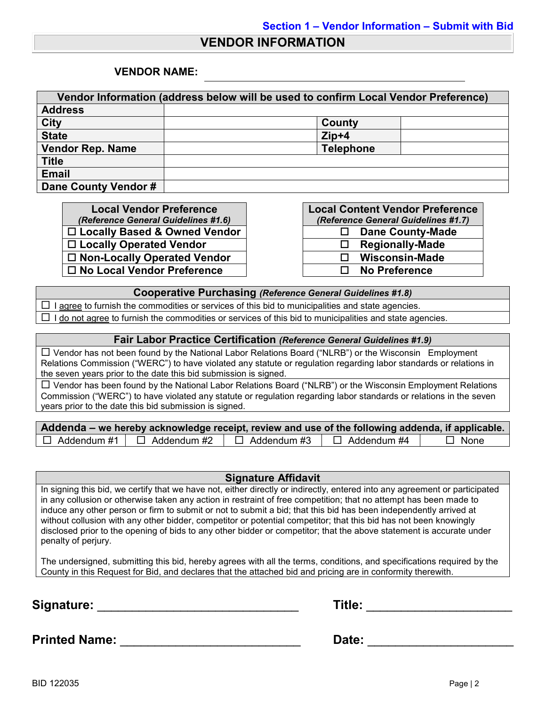#### **VENDOR INFORMATION**

#### **VENDOR NAME:**

| Vendor Information (address below will be used to confirm Local Vendor Preference) |                  |  |  |
|------------------------------------------------------------------------------------|------------------|--|--|
| <b>Address</b>                                                                     |                  |  |  |
| <b>City</b>                                                                        | County           |  |  |
| <b>State</b>                                                                       | $Zip+4$          |  |  |
| <b>Vendor Rep. Name</b>                                                            | <b>Telephone</b> |  |  |
| <b>Title</b>                                                                       |                  |  |  |
| <b>Email</b>                                                                       |                  |  |  |
| Dane County Vendor #                                                               |                  |  |  |

**Local Vendor Preference** *(Reference General Guidelines #1.6)* □ Locally Based & Owned Vendor **Locally Operated Vendor □ Non-Locally Operated Vendor No Local Vendor Preference No Preference**

| <b>Local Content Vendor Preference</b> |                         |  |  |
|----------------------------------------|-------------------------|--|--|
| (Reference General Guidelines #1.7)    |                         |  |  |
| ப                                      | <b>Dane County-Made</b> |  |  |
| ΙI                                     | <b>Regionally-Made</b>  |  |  |
| LΙ                                     | <b>Wisconsin-Made</b>   |  |  |
| LΙ                                     | <b>No Preference</b>    |  |  |

#### **Cooperative Purchasing** *(Reference General Guidelines #1.8)*

 $\Box$  I agree to furnish the commodities or services of this bid to municipalities and state agencies.  $\Box$  I do not agree to furnish the commodities or services of this bid to municipalities and state agencies.

#### **Fair Labor Practice Certification** *(Reference General Guidelines #1.9)*

 Vendor has not been found by the National Labor Relations Board ("NLRB") or the Wisconsin Employment Relations Commission ("WERC") to have violated any statute or regulation regarding labor standards or relations in the seven years prior to the date this bid submission is signed.

 $\Box$  Vendor has been found by the National Labor Relations Board ("NLRB") or the Wisconsin Employment Relations Commission ("WERC") to have violated any statute or regulation regarding labor standards or relations in the seven years prior to the date this bid submission is signed.

| Addenda – we hereby acknowledge receipt, review and use of the following addenda, if applicable. |               |                    |             |
|--------------------------------------------------------------------------------------------------|---------------|--------------------|-------------|
| $\Box$ Addendum #1 $\Box$ Addendum #2                                                            | □ Addendum #3 | $\Box$ Addendum #4 | $\Box$ None |

#### **Signature Affidavit**

In signing this bid, we certify that we have not, either directly or indirectly, entered into any agreement or participated in any collusion or otherwise taken any action in restraint of free competition; that no attempt has been made to induce any other person or firm to submit or not to submit a bid; that this bid has been independently arrived at without collusion with any other bidder, competitor or potential competitor; that this bid has not been knowingly disclosed prior to the opening of bids to any other bidder or competitor; that the above statement is accurate under penalty of perjury.

The undersigned, submitting this bid, hereby agrees with all the terms, conditions, and specifications required by the County in this Request for Bid, and declares that the attached bid and pricing are in conformity therewith.

**Signature:** \_\_\_\_\_\_\_\_\_\_\_\_\_\_\_\_\_\_\_\_\_\_\_\_\_\_\_\_\_ **Title:** \_\_\_\_\_\_\_\_\_\_\_\_\_\_\_\_\_\_\_\_\_

| Title: |  |
|--------|--|
|--------|--|

**Printed Name:** \_\_\_\_\_\_\_\_\_\_\_\_\_\_\_\_\_\_\_\_\_\_\_\_\_\_ **Date:** \_\_\_\_\_\_\_\_\_\_\_\_\_\_\_\_\_\_\_\_\_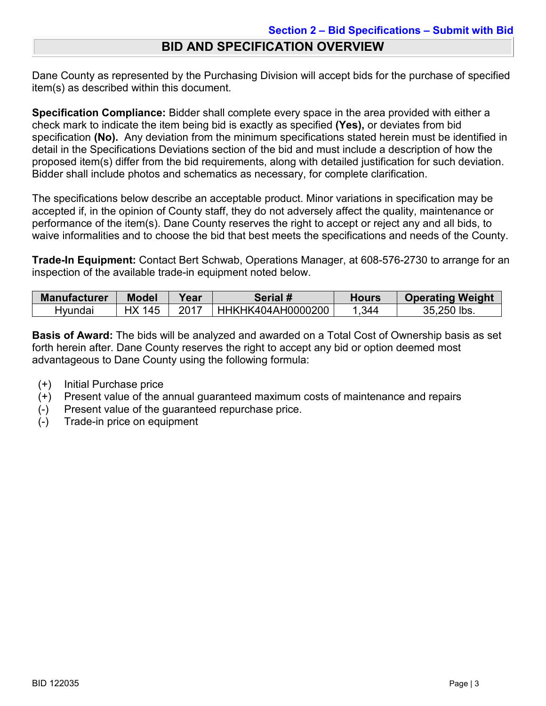### **BID AND SPECIFICATION OVERVIEW**

Dane County as represented by the Purchasing Division will accept bids for the purchase of specified item(s) as described within this document.

**Specification Compliance:** Bidder shall complete every space in the area provided with either a check mark to indicate the item being bid is exactly as specified **(Yes),** or deviates from bid specification **(No).** Any deviation from the minimum specifications stated herein must be identified in detail in the Specifications Deviations section of the bid and must include a description of how the proposed item(s) differ from the bid requirements, along with detailed justification for such deviation. Bidder shall include photos and schematics as necessary, for complete clarification.

The specifications below describe an acceptable product. Minor variations in specification may be accepted if, in the opinion of County staff, they do not adversely affect the quality, maintenance or performance of the item(s). Dane County reserves the right to accept or reject any and all bids, to waive informalities and to choose the bid that best meets the specifications and needs of the County.

**Trade-In Equipment:** Contact Bert Schwab, Operations Manager, at 608-576-2730 to arrange for an inspection of the available trade-in equipment noted below.

| <b>Manufacturer</b> | <b>Model</b> | Year | Serial #          | Hours | <b>Operating Weight</b> |
|---------------------|--------------|------|-------------------|-------|-------------------------|
| Hvundai             | 145          |      | HHKHK404AH0000200 | .344  | 35,250 lbs.             |

**Basis of Award:** The bids will be analyzed and awarded on a Total Cost of Ownership basis as set forth herein after. Dane County reserves the right to accept any bid or option deemed most advantageous to Dane County using the following formula:

- (+) Initial Purchase price
- (+) Present value of the annual guaranteed maximum costs of maintenance and repairs
- Present value of the quaranteed repurchase price.
- (-) Trade-in price on equipment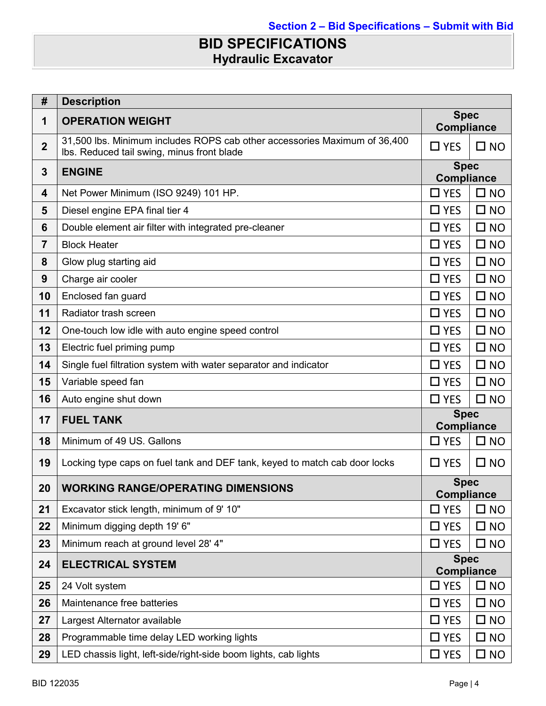### **BID SPECIFICATIONS Hydraulic Excavator**

| #                | <b>Description</b>                                                                                                      |                                  |              |
|------------------|-------------------------------------------------------------------------------------------------------------------------|----------------------------------|--------------|
| 1                | <b>OPERATION WEIGHT</b>                                                                                                 | <b>Spec</b><br>Compliance        |              |
| $\boldsymbol{2}$ | 31,500 lbs. Minimum includes ROPS cab other accessories Maximum of 36,400<br>Ibs. Reduced tail swing, minus front blade | $\Box$ YES                       | $\square$ NO |
| 3                | <b>ENGINE</b>                                                                                                           | <b>Spec</b><br><b>Compliance</b> |              |
| 4                | Net Power Minimum (ISO 9249) 101 HP.                                                                                    | $\Box$ YES                       | $\square$ NO |
| 5                | Diesel engine EPA final tier 4                                                                                          | $\Box$ YES                       | $\square$ NO |
| 6                | Double element air filter with integrated pre-cleaner                                                                   | $\Box$ YES                       | $\square$ NO |
| $\overline{7}$   | <b>Block Heater</b>                                                                                                     | $\Box$ YES                       | $\square$ NO |
| 8                | Glow plug starting aid                                                                                                  | $\Box$ YES                       | $\square$ NO |
| 9                | Charge air cooler                                                                                                       | $\Box$ YES                       | $\square$ NO |
| 10               | Enclosed fan guard                                                                                                      | $\Box$ YES                       | $\square$ NO |
| 11               | Radiator trash screen                                                                                                   | $\Box$ YES                       | $\square$ NO |
| 12               | One-touch low idle with auto engine speed control                                                                       | $\Box$ YES                       | $\square$ NO |
| 13               | Electric fuel priming pump                                                                                              | $\Box$ YES                       | $\square$ NO |
| 14               | Single fuel filtration system with water separator and indicator                                                        | $\Box$ YES                       | $\square$ NO |
| 15               | Variable speed fan                                                                                                      | $\Box$ YES                       | $\square$ NO |
| 16               | Auto engine shut down                                                                                                   | $\Box$ YES                       | $\square$ NO |
| 17               | <b>FUEL TANK</b>                                                                                                        | <b>Spec</b><br><b>Compliance</b> |              |
| 18               | Minimum of 49 US. Gallons                                                                                               | $\Box$ YES                       | $\square$ NO |
| 19               | Locking type caps on fuel tank and DEF tank, keyed to match cab door locks                                              | $\square$ YES                    | $\square$ NO |
| 20               | <b>WORKING RANGE/OPERATING DIMENSIONS</b>                                                                               | <b>Spec</b><br><b>Compliance</b> |              |
| 21               | Excavator stick length, minimum of 9' 10"                                                                               | $\square$ YES                    | $\square$ NO |
| 22               | Minimum digging depth 19' 6"                                                                                            | $\Box$ YES                       | $\square$ NO |
| 23               | Minimum reach at ground level 28' 4"                                                                                    | $\square$ YES                    | $\square$ NO |
| 24               | <b>ELECTRICAL SYSTEM</b>                                                                                                | <b>Spec</b><br><b>Compliance</b> |              |
| 25               | 24 Volt system                                                                                                          | $\square$ YES                    | $\square$ NO |
| 26               | Maintenance free batteries                                                                                              | $\Box$ YES                       | $\square$ NO |
| 27               | Largest Alternator available                                                                                            | $\Box$ YES                       | $\square$ NO |
| 28               | Programmable time delay LED working lights                                                                              | $\square$ YES                    | $\square$ NO |
| 29               | LED chassis light, left-side/right-side boom lights, cab lights                                                         | $\square$ YES                    | $\square$ NO |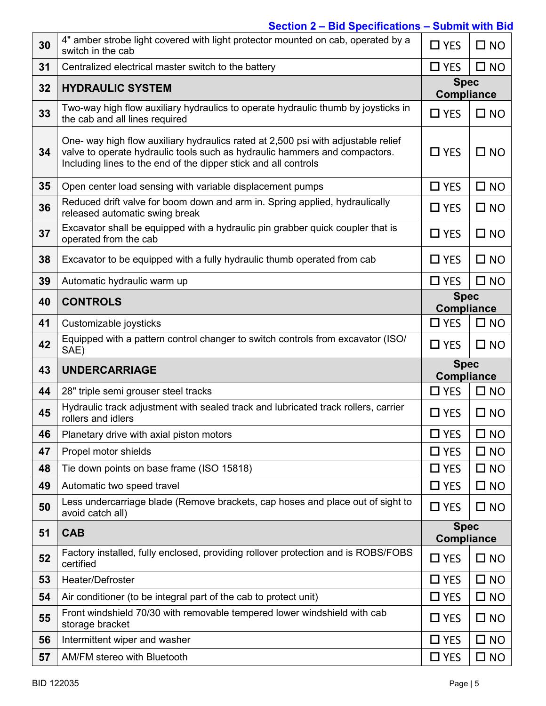### **Section 2 – Bid Specifications – Submit with Bid**

| 30 | 4" amber strobe light covered with light protector mounted on cab, operated by a<br>switch in the cab                                                                                                                              |                                  | $\square$ NO              |  |
|----|------------------------------------------------------------------------------------------------------------------------------------------------------------------------------------------------------------------------------------|----------------------------------|---------------------------|--|
| 31 | Centralized electrical master switch to the battery                                                                                                                                                                                |                                  | $\square$ NO              |  |
| 32 | <b>HYDRAULIC SYSTEM</b>                                                                                                                                                                                                            |                                  | <b>Spec</b><br>Compliance |  |
| 33 | Two-way high flow auxiliary hydraulics to operate hydraulic thumb by joysticks in<br>the cab and all lines required                                                                                                                |                                  | $\square$ NO              |  |
| 34 | One- way high flow auxiliary hydraulics rated at 2,500 psi with adjustable relief<br>valve to operate hydraulic tools such as hydraulic hammers and compactors.<br>Including lines to the end of the dipper stick and all controls |                                  | $\square$ NO              |  |
| 35 | Open center load sensing with variable displacement pumps                                                                                                                                                                          | $\Box$ YES                       | $\square$ NO              |  |
| 36 | Reduced drift valve for boom down and arm in. Spring applied, hydraulically<br>released automatic swing break                                                                                                                      | $\Box$ YES                       | $\square$ NO              |  |
| 37 | Excavator shall be equipped with a hydraulic pin grabber quick coupler that is<br>operated from the cab                                                                                                                            | $\Box$ YES                       | $\square$ NO              |  |
| 38 | Excavator to be equipped with a fully hydraulic thumb operated from cab                                                                                                                                                            |                                  | $\square$ NO              |  |
| 39 | Automatic hydraulic warm up                                                                                                                                                                                                        | $\Box$ YES                       | $\square$ NO              |  |
| 40 | <b>CONTROLS</b>                                                                                                                                                                                                                    | <b>Spec</b><br><b>Compliance</b> |                           |  |
| 41 | Customizable joysticks                                                                                                                                                                                                             | $\Box$ YES                       | $\square$ NO              |  |
| 42 | Equipped with a pattern control changer to switch controls from excavator (ISO/<br>SAE)                                                                                                                                            |                                  | $\square$ NO              |  |
|    |                                                                                                                                                                                                                                    |                                  |                           |  |
| 43 | <b>UNDERCARRIAGE</b>                                                                                                                                                                                                               | <b>Spec</b><br><b>Compliance</b> |                           |  |
| 44 | 28" triple semi grouser steel tracks                                                                                                                                                                                               | $\Box$ YES                       | $\square$ NO              |  |
| 45 | Hydraulic track adjustment with sealed track and lubricated track rollers, carrier<br>rollers and idlers                                                                                                                           | $\Box$ YES                       | $\square$ NO              |  |
| 46 | Planetary drive with axial piston motors                                                                                                                                                                                           | $\square$ YES                    | $\square$ NO              |  |
| 47 | Propel motor shields                                                                                                                                                                                                               | $\Box$ YES                       | $\square$ NO              |  |
| 48 | Tie down points on base frame (ISO 15818)                                                                                                                                                                                          | $\Box$ YES                       | $\square$ NO              |  |
| 49 | Automatic two speed travel                                                                                                                                                                                                         | $\Box$ YES                       | $\square$ NO              |  |
| 50 | Less undercarriage blade (Remove brackets, cap hoses and place out of sight to<br>avoid catch all)                                                                                                                                 | $\Box$ YES                       | $\square$ NO              |  |
| 51 | <b>CAB</b>                                                                                                                                                                                                                         | <b>Spec</b><br>Compliance        |                           |  |
| 52 | Factory installed, fully enclosed, providing rollover protection and is ROBS/FOBS<br>certified                                                                                                                                     | $\Box$ YES                       | $\square$ NO              |  |
| 53 | Heater/Defroster                                                                                                                                                                                                                   | $\Box$ YES                       | $\square$ NO              |  |
| 54 | Air conditioner (to be integral part of the cab to protect unit)                                                                                                                                                                   | $\Box$ YES                       | $\square$ NO              |  |
| 55 | Front windshield 70/30 with removable tempered lower windshield with cab<br>storage bracket                                                                                                                                        | $\Box$ YES                       | $\square$ NO              |  |
| 56 | Intermittent wiper and washer                                                                                                                                                                                                      | $\Box$ YES                       | $\square$ NO              |  |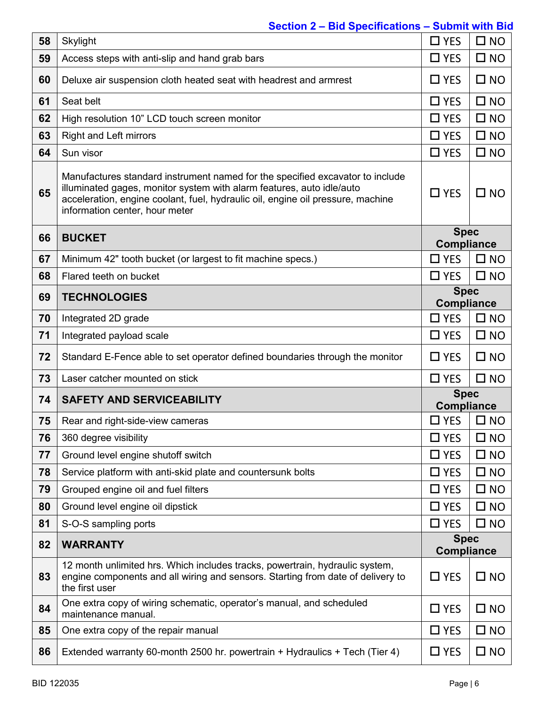### **Section 2 – Bid Specifications – Submit with Bid**

| 58 | Skylight                                                                                                                                                                                                                                                                    | $\Box$ YES                       | $\square$ NO |
|----|-----------------------------------------------------------------------------------------------------------------------------------------------------------------------------------------------------------------------------------------------------------------------------|----------------------------------|--------------|
| 59 | Access steps with anti-slip and hand grab bars                                                                                                                                                                                                                              | $\Box$ YES                       | $\square$ NO |
| 60 | Deluxe air suspension cloth heated seat with headrest and armrest                                                                                                                                                                                                           | $\Box$ YES                       | $\square$ NO |
| 61 | Seat belt                                                                                                                                                                                                                                                                   | $\Box$ YES                       | $\square$ NO |
| 62 | High resolution 10" LCD touch screen monitor                                                                                                                                                                                                                                | $\Box$ YES                       | $\square$ NO |
| 63 | <b>Right and Left mirrors</b>                                                                                                                                                                                                                                               | $\Box$ YES                       | $\square$ NO |
| 64 | Sun visor                                                                                                                                                                                                                                                                   | $\Box$ YES                       | $\square$ NO |
| 65 | Manufactures standard instrument named for the specified excavator to include<br>illuminated gages, monitor system with alarm features, auto idle/auto<br>acceleration, engine coolant, fuel, hydraulic oil, engine oil pressure, machine<br>information center, hour meter | $\Box$ YES                       | $\square$ NO |
| 66 | <b>BUCKET</b>                                                                                                                                                                                                                                                               | <b>Spec</b><br><b>Compliance</b> |              |
| 67 | Minimum 42" tooth bucket (or largest to fit machine specs.)                                                                                                                                                                                                                 | $\Box$ YES                       | $\square$ NO |
| 68 | Flared teeth on bucket                                                                                                                                                                                                                                                      | $\Box$ YES                       | $\square$ NO |
| 69 | <b>TECHNOLOGIES</b>                                                                                                                                                                                                                                                         | <b>Spec</b><br><b>Compliance</b> |              |
| 70 | Integrated 2D grade                                                                                                                                                                                                                                                         | $\Box$ YES                       | $\square$ NO |
| 71 | Integrated payload scale                                                                                                                                                                                                                                                    | $\Box$ YES                       | $\square$ NO |
| 72 | Standard E-Fence able to set operator defined boundaries through the monitor                                                                                                                                                                                                | $\Box$ YES                       | $\square$ NO |
| 73 | Laser catcher mounted on stick                                                                                                                                                                                                                                              | $\Box$ YES                       | $\square$ NO |
| 74 | <b>SAFETY AND SERVICEABILITY</b>                                                                                                                                                                                                                                            | <b>Spec</b><br><b>Compliance</b> |              |
| 75 | Rear and right-side-view cameras                                                                                                                                                                                                                                            | $\Box$ YES                       | $\square$ NO |
| 76 | 360 degree visibility                                                                                                                                                                                                                                                       | $\square$ YES                    | $\square$ NO |
| 77 | Ground level engine shutoff switch                                                                                                                                                                                                                                          | $\Box$ YES                       | $\square$ NO |
| 78 | Service platform with anti-skid plate and countersunk bolts                                                                                                                                                                                                                 | $\Box$ YES                       | $\square$ NO |
| 79 | Grouped engine oil and fuel filters                                                                                                                                                                                                                                         | $\Box$ YES                       | $\square$ NO |
| 80 | Ground level engine oil dipstick                                                                                                                                                                                                                                            | $\Box$ YES                       | $\square$ NO |
| 81 | S-O-S sampling ports                                                                                                                                                                                                                                                        | $\Box$ YES                       | $\square$ NO |
| 82 |                                                                                                                                                                                                                                                                             |                                  |              |
|    | <b>WARRANTY</b>                                                                                                                                                                                                                                                             | <b>Spec</b><br><b>Compliance</b> |              |
| 83 | 12 month unlimited hrs. Which includes tracks, powertrain, hydraulic system,<br>engine components and all wiring and sensors. Starting from date of delivery to<br>the first user                                                                                           | $\square$ YES                    | $\square$ NO |
| 84 | One extra copy of wiring schematic, operator's manual, and scheduled<br>maintenance manual.                                                                                                                                                                                 | $\square$ YES                    | $\square$ NO |
| 85 | One extra copy of the repair manual                                                                                                                                                                                                                                         | $\Box$ YES                       | $\square$ NO |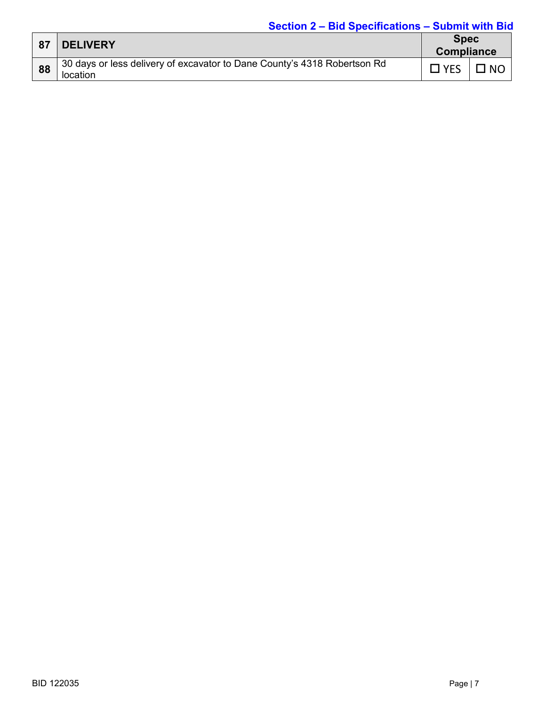#### **Section 2 – Bid Specifications – Submit with Bid**

| 87 | <b>DELIVERY</b>                                                                      | <b>Spec</b><br><b>Compliance</b> |           |
|----|--------------------------------------------------------------------------------------|----------------------------------|-----------|
| 88 | 30 days or less delivery of excavator to Dane County's 4318 Robertson Rd<br>location | $\neg$ YES                       | <b>NC</b> |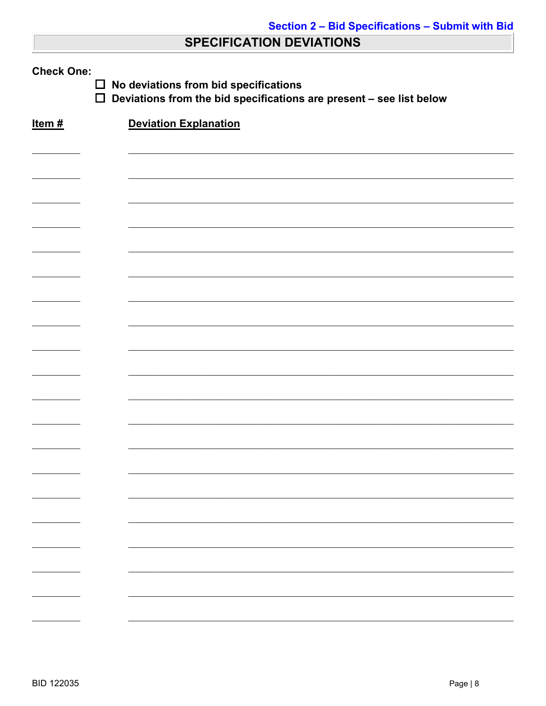### **SPECIFICATION DEVIATIONS**

| <b>Check One:</b><br>No deviations from bid specifications<br>$\Box$<br>$\Box$<br>Deviations from the bid specifications are present - see list below |                              |  |  |  |
|-------------------------------------------------------------------------------------------------------------------------------------------------------|------------------------------|--|--|--|
| Item $#$                                                                                                                                              | <b>Deviation Explanation</b> |  |  |  |
|                                                                                                                                                       |                              |  |  |  |
|                                                                                                                                                       |                              |  |  |  |
|                                                                                                                                                       |                              |  |  |  |
|                                                                                                                                                       |                              |  |  |  |
|                                                                                                                                                       |                              |  |  |  |
|                                                                                                                                                       |                              |  |  |  |
|                                                                                                                                                       |                              |  |  |  |
|                                                                                                                                                       |                              |  |  |  |
|                                                                                                                                                       |                              |  |  |  |
|                                                                                                                                                       |                              |  |  |  |
|                                                                                                                                                       |                              |  |  |  |
|                                                                                                                                                       |                              |  |  |  |
|                                                                                                                                                       |                              |  |  |  |
|                                                                                                                                                       |                              |  |  |  |
|                                                                                                                                                       |                              |  |  |  |
|                                                                                                                                                       |                              |  |  |  |
|                                                                                                                                                       |                              |  |  |  |
|                                                                                                                                                       |                              |  |  |  |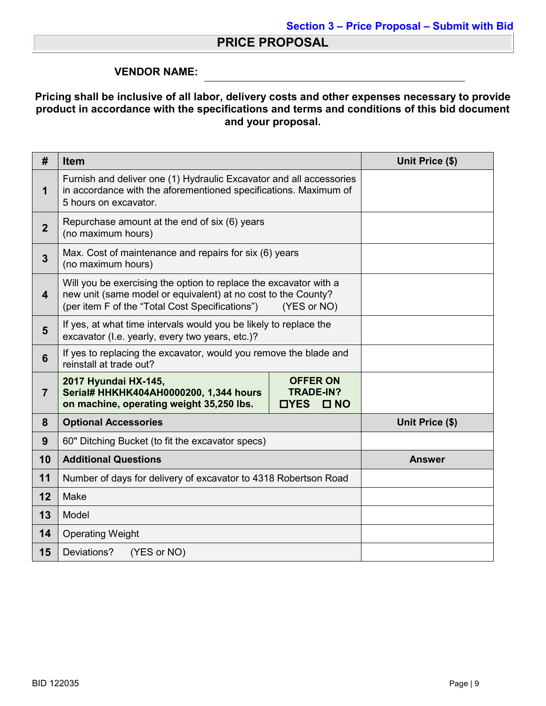### **PRICE PROPOSAL**

#### **VENDOR NAME:**

#### **Pricing shall be inclusive of all labor, delivery costs and other expenses necessary to provide product in accordance with the specifications and terms and conditions of this bid document and your proposal.**

| #                       | <b>Item</b>                                                                                                                                                                                          | Unit Price (\$) |
|-------------------------|------------------------------------------------------------------------------------------------------------------------------------------------------------------------------------------------------|-----------------|
| 1                       | Furnish and deliver one (1) Hydraulic Excavator and all accessories<br>in accordance with the aforementioned specifications. Maximum of<br>5 hours on excavator.                                     |                 |
| $\overline{2}$          | Repurchase amount at the end of six (6) years<br>(no maximum hours)                                                                                                                                  |                 |
| 3                       | Max. Cost of maintenance and repairs for six (6) years<br>(no maximum hours)                                                                                                                         |                 |
| $\overline{\mathbf{4}}$ | Will you be exercising the option to replace the excavator with a<br>new unit (same model or equivalent) at no cost to the County?<br>(per item F of the "Total Cost Specifications")<br>(YES or NO) |                 |
| 5                       | If yes, at what time intervals would you be likely to replace the<br>excavator (I.e. yearly, every two years, etc.)?                                                                                 |                 |
| 6                       | If yes to replacing the excavator, would you remove the blade and<br>reinstall at trade out?                                                                                                         |                 |
| $\overline{7}$          | 2017 Hyundai HX-145,<br><b>OFFER ON</b><br><b>TRADE-IN?</b><br>Serial# HHKHK404AH0000200, 1,344 hours<br>on machine, operating weight 35,250 lbs.<br><b>OYES</b><br>$\square$ NO                     |                 |
| 8                       | <b>Optional Accessories</b>                                                                                                                                                                          | Unit Price (\$) |
| 9                       | 60" Ditching Bucket (to fit the excavator specs)                                                                                                                                                     |                 |
| 10                      | <b>Additional Questions</b>                                                                                                                                                                          | <b>Answer</b>   |
| 11                      | Number of days for delivery of excavator to 4318 Robertson Road                                                                                                                                      |                 |
| 12                      | Make                                                                                                                                                                                                 |                 |
| 13                      | Model                                                                                                                                                                                                |                 |
| 14                      | <b>Operating Weight</b>                                                                                                                                                                              |                 |
| 15                      | Deviations?<br>(YES or NO)                                                                                                                                                                           |                 |